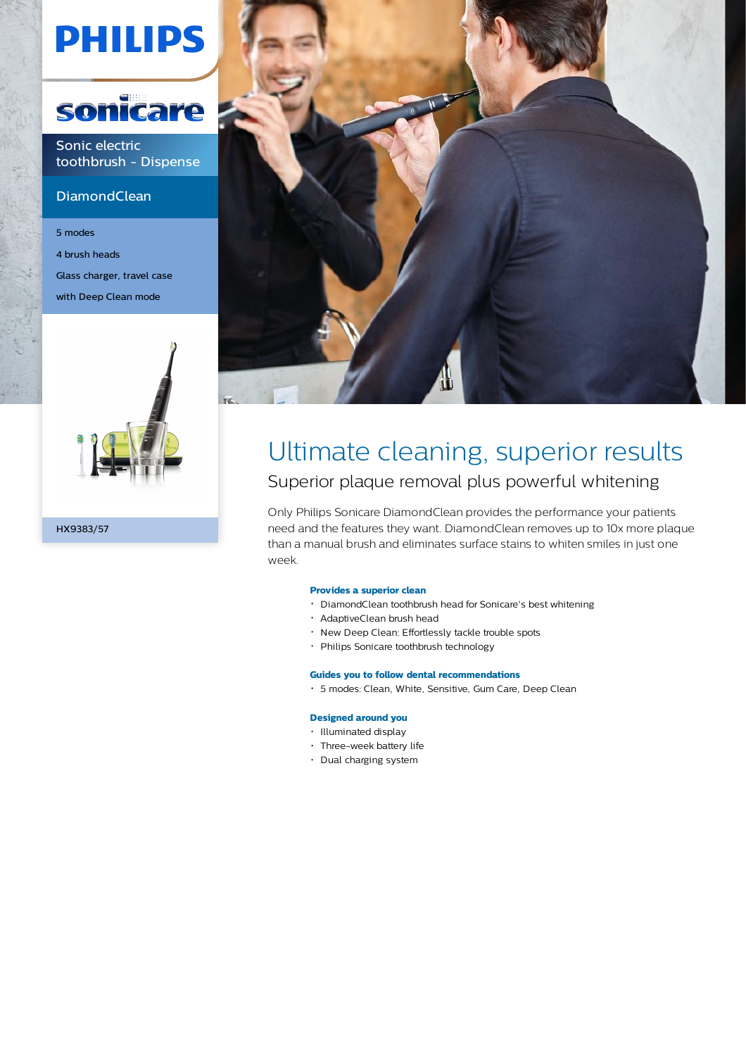# **PHILIPS**



Sonic electric toothbrush - Dispense

# **DiamondClean**

5 modes 4 brush heads Glass charger, travel case with Deep Clean mode





# Ultimate cleaning, superior results Superior plaque removal plus powerful whitening

Only Philips Sonicare DiamondClean provides the performance your patients need and the features they want. DiamondClean removes up to 10x more plaque than a manual brush and eliminates surface stains to whiten smiles in just one week.

## **Provides a superior clean**

- DiamondClean toothbrush head for Sonicare's best whitening
- AdaptiveClean brush head
- New Deep Clean: Effortlessly tackle trouble spots
- Philips Sonicare toothbrush technology

## **Guides you to follow dental recommendations**

5 modes: Clean, White, Sensitive, Gum Care, Deep Clean

#### **Designed around you**

- Illuminated display
- Three-week battery life
- Dual charging system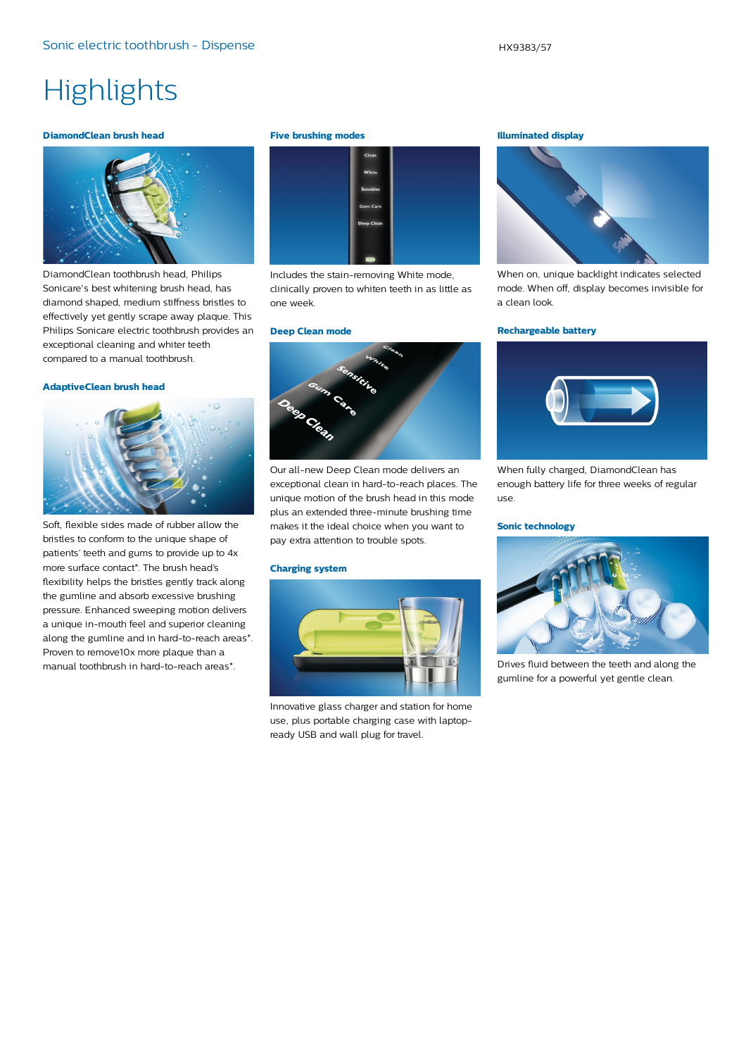# **Highlights**

#### **DiamondClean brush head**



DiamondClean toothbrush head, Philips Sonicare's best whitening brush head, has diamond shaped, medium stiffness bristles to effectively yet gently scrape away plaque. This Philips Sonicare electric toothbrush provides an exceptional cleaning and whiter teeth compared to a manual toothbrush.

#### **AdaptiveClean brush head**



Soft, flexible sides made of rubber allow the bristles to conform to the unique shape of patients' teeth and gums to provide up to 4x more surface contact\*. The brush head's flexibility helps the bristles gently track along the gumline and absorb excessive brushing pressure. Enhanced sweeping motion delivers a unique in-mouth feel and superior cleaning along the gumline and in hard-to-reach areas\*. Proven to remove10x more plaque than a manual toothbrush in hard-to-reach areas\*.

#### **Five brushing modes**



Includes the stain-removing White mode, clinically proven to whiten teeth in as little as one week.

#### **Deep Clean mode**



Our all-new Deep Clean mode delivers an exceptional clean in hard-to-reach places. The unique motion of the brush head in this mode plus an extended three-minute brushing time makes it the ideal choice when you want to pay extra attention to trouble spots.

#### **Charging system**



Innovative glass charger and station for home use, plus portable charging case with laptopready USB and wall plug for travel.

#### **Illuminated display**



When on, unique backlight indicates selected mode. When off, display becomes invisible for a clean look.

#### **Rechargeable battery**



When fully charged, DiamondClean has enough battery life for three weeks of regular use.

#### **Sonic technology**



Drives fluid between the teeth and along the gumline for a powerful yet gentle clean.